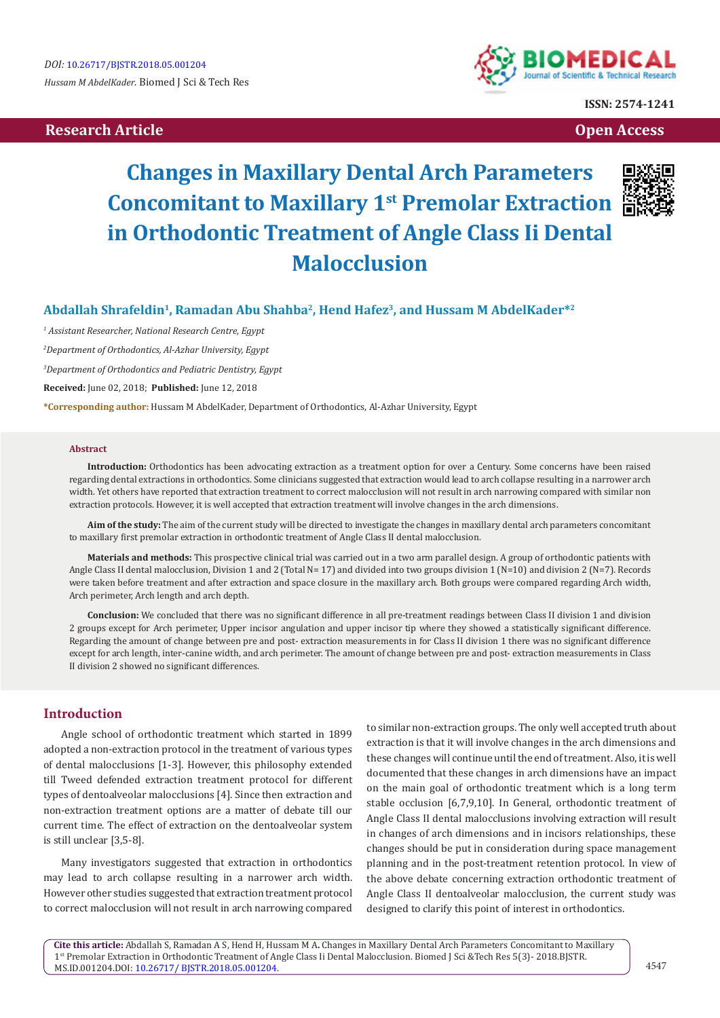# **Research Article Open Access Contract Article Open Access Open Access Open Access**



**ISSN: 2574-1241**

# **Changes in Maxillary Dental Arch Parameters Concomitant to Maxillary 1st Premolar Extraction in Orthodontic Treatment of Angle Class Ii Dental Malocclusion**



## **Abdallah Shrafeldin1, Ramadan Abu Shahba2, Hend Hafez3, and Hussam M AbdelKader\*2**

  *Assistant Researcher, National Research Centre, Egypt Department of Orthodontics, Al-Azhar University, Egypt Department of Orthodontics and Pediatric Dentistry, Egypt* **Received:** June 02, 2018; **Published:** June 12, 2018

**\*Corresponding author:** Hussam M AbdelKader, Department of Orthodontics, Al-Azhar University, Egypt

#### **Abstract**

**Introduction:** Orthodontics has been advocating extraction as a treatment option for over a Century. Some concerns have been raised regarding dental extractions in orthodontics. Some clinicians suggested that extraction would lead to arch collapse resulting in a narrower arch width. Yet others have reported that extraction treatment to correct malocclusion will not result in arch narrowing compared with similar non extraction protocols. However, it is well accepted that extraction treatment will involve changes in the arch dimensions.

**Aim of the study:** The aim of the current study will be directed to investigate the changes in maxillary dental arch parameters concomitant to maxillary first premolar extraction in orthodontic treatment of Angle Class II dental malocclusion.

**Materials and methods:** This prospective clinical trial was carried out in a two arm parallel design. A group of orthodontic patients with Angle Class II dental malocclusion, Division 1 and 2 (Total N= 17) and divided into two groups division 1 (N=10) and division 2 (N=7). Records were taken before treatment and after extraction and space closure in the maxillary arch. Both groups were compared regarding Arch width, Arch perimeter, Arch length and arch depth.

**Conclusion:** We concluded that there was no significant difference in all pre-treatment readings between Class II division 1 and division 2 groups except for Arch perimeter, Upper incisor angulation and upper incisor tip where they showed a statistically significant difference. Regarding the amount of change between pre and post- extraction measurements in for Class II division 1 there was no significant difference except for arch length, inter-canine width, and arch perimeter. The amount of change between pre and post- extraction measurements in Class II division 2 showed no significant differences.

## **Introduction**

Angle school of orthodontic treatment which started in 1899 adopted a non-extraction protocol in the treatment of various types of dental malocclusions [1-3]. However, this philosophy extended till Tweed defended extraction treatment protocol for different types of dentoalveolar malocclusions [4]. Since then extraction and non-extraction treatment options are a matter of debate till our current time. The effect of extraction on the dentoalveolar system is still unclear [3,5-8].

Many investigators suggested that extraction in orthodontics may lead to arch collapse resulting in a narrower arch width. However other studies suggested that extraction treatment protocol to correct malocclusion will not result in arch narrowing compared

to similar non-extraction groups. The only well accepted truth about extraction is that it will involve changes in the arch dimensions and these changes will continue until the end of treatment. Also, it is well documented that these changes in arch dimensions have an impact on the main goal of orthodontic treatment which is a long term stable occlusion [6,7,9,10]. In General, orthodontic treatment of Angle Class II dental malocclusions involving extraction will result in changes of arch dimensions and in incisors relationships, these changes should be put in consideration during space management planning and in the post-treatment retention protocol. In view of the above debate concerning extraction orthodontic treatment of Angle Class II dentoalveolar malocclusion, the current study was designed to clarify this point of interest in orthodontics.

**Cite this article:** Abdallah S, Ramadan A S, Hend H, Hussam M A**.** Changes in Maxillary Dental Arch Parameters Concomitant to Maxillary 1st Premolar Extraction in Orthodontic Treatment of Angle Class Ii Dental Malocclusion. Biomed J Sci &Tech Res 5(3)- 2018.BJSTR. MS.ID.001204.DOI: [10.26717/ BJSTR.2018.05.001204](http://dx.doi.org/10.26717/BJSTR.2018.05.001204).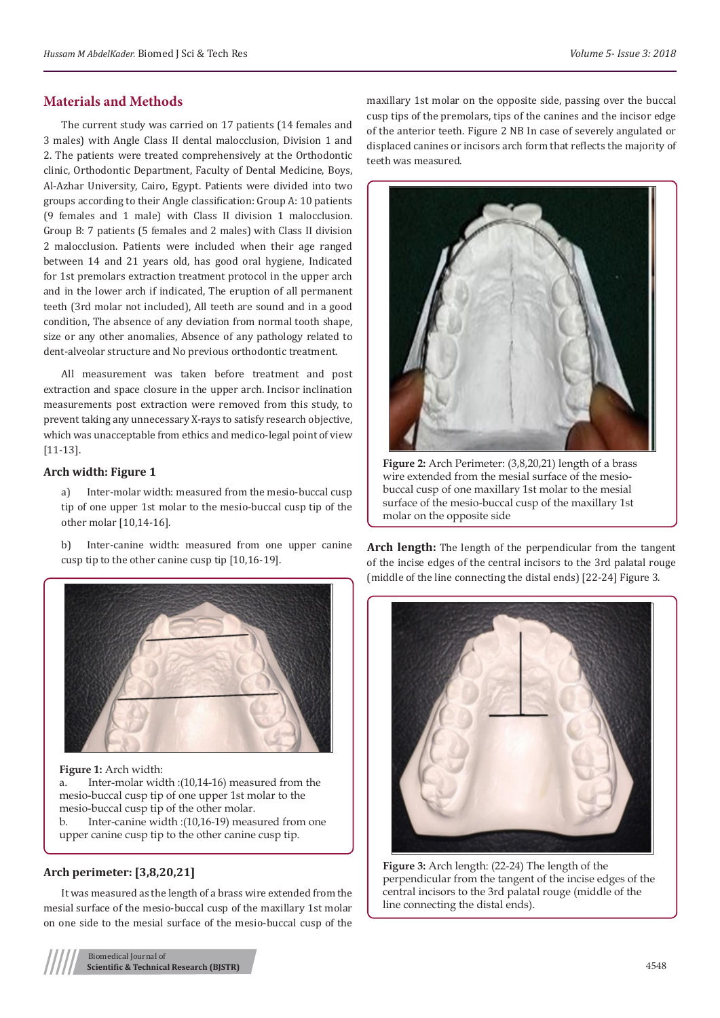## **Materials and Methods**

The current study was carried on 17 patients (14 females and 3 males) with Angle Class II dental malocclusion, Division 1 and 2. The patients were treated comprehensively at the Orthodontic clinic, Orthodontic Department, Faculty of Dental Medicine, Boys, Al-Azhar University, Cairo, Egypt. Patients were divided into two groups according to their Angle classification: Group A: 10 patients (9 females and 1 male) with Class II division 1 malocclusion. Group B: 7 patients (5 females and 2 males) with Class II division 2 malocclusion. Patients were included when their age ranged between 14 and 21 years old, has good oral hygiene, Indicated for 1st premolars extraction treatment protocol in the upper arch and in the lower arch if indicated, The eruption of all permanent teeth (3rd molar not included), All teeth are sound and in a good condition, The absence of any deviation from normal tooth shape, size or any other anomalies, Absence of any pathology related to dent-alveolar structure and No previous orthodontic treatment.

All measurement was taken before treatment and post extraction and space closure in the upper arch. Incisor inclination measurements post extraction were removed from this study, to prevent taking any unnecessary X-rays to satisfy research objective, which was unacceptable from ethics and medico-legal point of view [11-13].

### **Arch width: Figure 1**

Inter-molar width: measured from the mesio-buccal cusp tip of one upper 1st molar to the mesio-buccal cusp tip of the other molar [10,14-16].

b) Inter-canine width: measured from one upper canine cusp tip to the other canine cusp tip [10,16-19].



**Figure 1:** Arch width:

a. Inter-molar width :(10,14-16) measured from the mesio-buccal cusp tip of one upper 1st molar to the mesio-buccal cusp tip of the other molar. b. Inter-canine width :(10,16-19) measured from one upper canine cusp tip to the other canine cusp tip.

## **Arch perimeter: [3,8,20,21]**

It was measured as the length of a brass wire extended from the mesial surface of the mesio-buccal cusp of the maxillary 1st molar on one side to the mesial surface of the mesio-buccal cusp of the

Biomedical Journal of **Scientific & Technical Research (BJSTR)** 4548

maxillary 1st molar on the opposite side, passing over the buccal cusp tips of the premolars, tips of the canines and the incisor edge of the anterior teeth. Figure 2 NB In case of severely angulated or displaced canines or incisors arch form that reflects the majority of teeth was measured.



**Figure 2:** Arch Perimeter: (3,8,20,21) length of a brass wire extended from the mesial surface of the mesiobuccal cusp of one maxillary 1st molar to the mesial surface of the mesio-buccal cusp of the maxillary 1st molar on the opposite side

**Arch length:** The length of the perpendicular from the tangent of the incise edges of the central incisors to the 3rd palatal rouge (middle of the line connecting the distal ends) [22-24] Figure 3.



**Figure 3:** Arch length: (22-24) The length of the perpendicular from the tangent of the incise edges of the central incisors to the 3rd palatal rouge (middle of the line connecting the distal ends).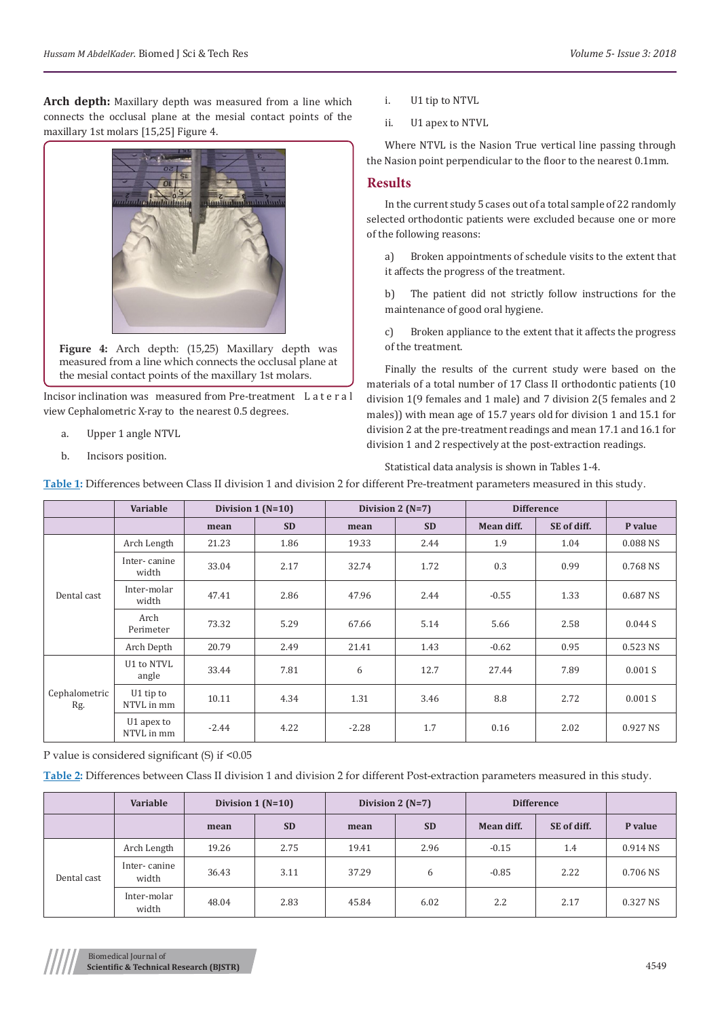**Arch depth:** Maxillary depth was measured from a line which connects the occlusal plane at the mesial contact points of the maxillary 1st molars [15,25] Figure 4.



**Figure 4:** Arch depth: (15,25) Maxillary depth was measured from a line which connects the occlusal plane at the mesial contact points of the maxillary 1st molars.

Incisor inclination was measured from Pre-treatment L a t e r a l view Cephalometric X-ray to the nearest 0.5 degrees.

- a. Upper 1 angle NTVL
- b. Incisors position.
- i. U1 tip to NTVL
- ii. U1 apex to NTVL

Where NTVL is the Nasion True vertical line passing through the Nasion point perpendicular to the floor to the nearest 0.1mm.

## **Results**

In the current study 5 cases out of a total sample of 22 randomly selected orthodontic patients were excluded because one or more of the following reasons:

a) Broken appointments of schedule visits to the extent that it affects the progress of the treatment.

b) The patient did not strictly follow instructions for the maintenance of good oral hygiene.

c) Broken appliance to the extent that it affects the progress of the treatment.

Finally the results of the current study were based on the materials of a total number of 17 Class II orthodontic patients (10 division 1(9 females and 1 male) and 7 division 2(5 females and 2 males)) with mean age of 15.7 years old for division 1 and 15.1 for division 2 at the pre-treatment readings and mean 17.1 and 16.1 for division 1 and 2 respectively at the post-extraction readings.

#### Statistical data analysis is shown in Tables 1-4.

**Table 1:** Differences between Class II division 1 and division 2 for different Pre-treatment parameters measured in this study.

|                      | Variable                 | Division $1(N=10)$ |           | Division 2 $(N=7)$ |           | <b>Difference</b> |             |          |
|----------------------|--------------------------|--------------------|-----------|--------------------|-----------|-------------------|-------------|----------|
|                      |                          | mean               | <b>SD</b> | mean               | <b>SD</b> | Mean diff.        | SE of diff. | P value  |
| Dental cast          | Arch Length              | 21.23              | 1.86      | 19.33              | 2.44      | 1.9               | 1.04        | 0.088 NS |
|                      | Inter-canine<br>width    | 33.04              | 2.17      | 32.74              | 1.72      | 0.3               | 0.99        | 0.768 NS |
|                      | Inter-molar<br>width     | 47.41              | 2.86      | 47.96              | 2.44      | $-0.55$           | 1.33        | 0.687 NS |
|                      | Arch<br>Perimeter        | 73.32              | 5.29      | 67.66              | 5.14      | 5.66              | 2.58        | 0.044 S  |
|                      | Arch Depth               | 20.79              | 2.49      | 21.41              | 1.43      | $-0.62$           | 0.95        | 0.523 NS |
| Cephalometric<br>Rg. | U1 to NTVL<br>angle      | 33.44              | 7.81      | 6                  | 12.7      | 27.44             | 7.89        | 0.001 S  |
|                      | U1 tip to<br>NTVL in mm  | 10.11              | 4.34      | 1.31               | 3.46      | 8.8               | 2.72        | 0.001 S  |
|                      | U1 apex to<br>NTVL in mm | $-2.44$            | 4.22      | $-2.28$            | 1.7       | 0.16              | 2.02        | 0.927 NS |

P value is considered significant (S) if <0.05

**Table 2:** Differences between Class II division 1 and division 2 for different Post-extraction parameters measured in this study.

|             | Variable              | Division $1(N=10)$ |           | Division 2 $(N=7)$ |           | <b>Difference</b> |             |          |
|-------------|-----------------------|--------------------|-----------|--------------------|-----------|-------------------|-------------|----------|
|             |                       | mean               | <b>SD</b> | mean               | <b>SD</b> | Mean diff.        | SE of diff. | P value  |
| Dental cast | Arch Length           | 19.26              | 2.75      | 19.41              | 2.96      | $-0.15$           | 1.4         | 0.914 NS |
|             | Inter-canine<br>width | 36.43              | 3.11      | 37.29              | 6         | $-0.85$           | 2.22        | 0.706 NS |
|             | Inter-molar<br>width  | 48.04              | 2.83      | 45.84              | 6.02      | 2.2               | 2.17        | 0.327 NS |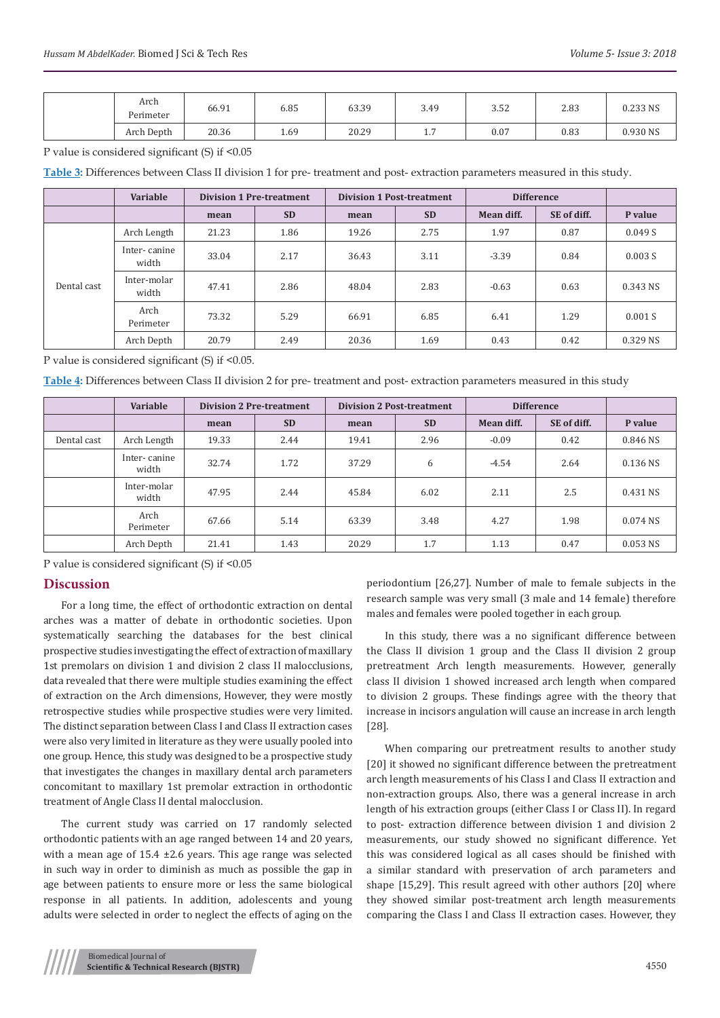| Arch<br>Perimeter | 66.91 | 6.85 | 63.39 | 3.49                  | 3.52 | 2.83 | 0.233 NS |
|-------------------|-------|------|-------|-----------------------|------|------|----------|
| Arch Depth        | 20.36 | 1.69 | 20.29 | $\sim$ $-$<br>$\pm$ . | 0.07 | 0.83 | 0.930 NS |

P value is considered significant (S) if <0.05

**Table 3:** Differences between Class II division 1 for pre- treatment and post- extraction parameters measured in this study.

|             | Variable              | <b>Division 1 Pre-treatment</b> |           | <b>Division 1 Post-treatment</b> |           | <b>Difference</b> |             |          |
|-------------|-----------------------|---------------------------------|-----------|----------------------------------|-----------|-------------------|-------------|----------|
|             |                       | mean                            | <b>SD</b> | mean                             | <b>SD</b> | Mean diff.        | SE of diff. | P value  |
| Dental cast | Arch Length           | 21.23                           | 1.86      | 19.26                            | 2.75      | 1.97              | 0.87        | 0.049 S  |
|             | Inter-canine<br>width | 33.04                           | 2.17      | 36.43                            | 3.11      | $-3.39$           | 0.84        | 0.003 S  |
|             | Inter-molar<br>width  | 47.41                           | 2.86      | 48.04                            | 2.83      | $-0.63$           | 0.63        | 0.343 NS |
|             | Arch<br>Perimeter     | 73.32                           | 5.29      | 66.91                            | 6.85      | 6.41              | 1.29        | 0.001 S  |
|             | Arch Depth            | 20.79                           | 2.49      | 20.36                            | 1.69      | 0.43              | 0.42        | 0.329 NS |

P value is considered significant (S) if <0.05.

**Table 4:** Differences between Class II division 2 for pre- treatment and post- extraction parameters measured in this study

|             | Variable              | <b>Division 2 Pre-treatment</b> |           | <b>Division 2 Post-treatment</b> |           | <b>Difference</b> |             |            |
|-------------|-----------------------|---------------------------------|-----------|----------------------------------|-----------|-------------------|-------------|------------|
|             |                       | mean                            | <b>SD</b> | mean                             | <b>SD</b> | Mean diff.        | SE of diff. | P value    |
| Dental cast | Arch Length           | 19.33                           | 2.44      | 19.41                            | 2.96      | $-0.09$           | 0.42        | 0.846 NS   |
|             | Inter-canine<br>width | 32.74                           | 1.72      | 37.29                            | 6         | $-4.54$           | 2.64        | 0.136 NS   |
|             | Inter-molar<br>width  | 47.95                           | 2.44      | 45.84                            | 6.02      | 2.11              | 2.5         | 0.431 NS   |
|             | Arch<br>Perimeter     | 67.66                           | 5.14      | 63.39                            | 3.48      | 4.27              | 1.98        | 0.074 NS   |
|             | Arch Depth            | 21.41                           | 1.43      | 20.29                            | 1.7       | 1.13              | 0.47        | $0.053$ NS |

P value is considered significant (S) if <0.05

## **Discussion**

For a long time, the effect of orthodontic extraction on dental arches was a matter of debate in orthodontic societies. Upon systematically searching the databases for the best clinical prospective studies investigating the effect of extraction of maxillary 1st premolars on division 1 and division 2 class II malocclusions, data revealed that there were multiple studies examining the effect of extraction on the Arch dimensions, However, they were mostly retrospective studies while prospective studies were very limited. The distinct separation between Class I and Class II extraction cases were also very limited in literature as they were usually pooled into one group. Hence, this study was designed to be a prospective study that investigates the changes in maxillary dental arch parameters concomitant to maxillary 1st premolar extraction in orthodontic treatment of Angle Class II dental malocclusion.

The current study was carried on 17 randomly selected orthodontic patients with an age ranged between 14 and 20 years, with a mean age of 15.4 ±2.6 years. This age range was selected in such way in order to diminish as much as possible the gap in age between patients to ensure more or less the same biological response in all patients. In addition, adolescents and young adults were selected in order to neglect the effects of aging on the

periodontium [26,27]. Number of male to female subjects in the research sample was very small (3 male and 14 female) therefore males and females were pooled together in each group.

In this study, there was a no significant difference between the Class II division 1 group and the Class II division 2 group pretreatment Arch length measurements. However, generally class II division 1 showed increased arch length when compared to division 2 groups. These findings agree with the theory that increase in incisors angulation will cause an increase in arch length [28].

When comparing our pretreatment results to another study [20] it showed no significant difference between the pretreatment arch length measurements of his Class I and Class II extraction and non-extraction groups. Also, there was a general increase in arch length of his extraction groups (either Class I or Class II). In regard to post- extraction difference between division 1 and division 2 measurements, our study showed no significant difference. Yet this was considered logical as all cases should be finished with a similar standard with preservation of arch parameters and shape [15,29]. This result agreed with other authors [20] where they showed similar post-treatment arch length measurements comparing the Class I and Class II extraction cases. However, they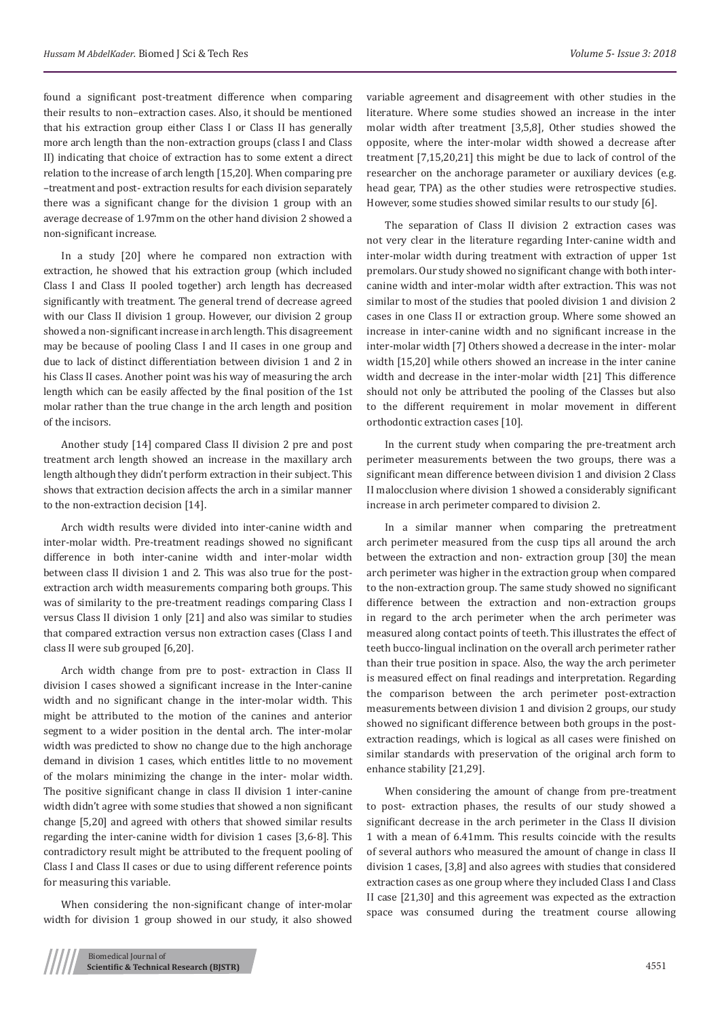found a significant post-treatment difference when comparing their results to non–extraction cases. Also, it should be mentioned that his extraction group either Class I or Class II has generally more arch length than the non-extraction groups (class I and Class II) indicating that choice of extraction has to some extent a direct relation to the increase of arch length [15,20]. When comparing pre –treatment and post- extraction results for each division separately there was a significant change for the division 1 group with an average decrease of 1.97mm on the other hand division 2 showed a non-significant increase.

In a study [20] where he compared non extraction with extraction, he showed that his extraction group (which included Class I and Class II pooled together) arch length has decreased significantly with treatment. The general trend of decrease agreed with our Class II division 1 group. However, our division 2 group showed a non-significant increase in arch length. This disagreement may be because of pooling Class I and II cases in one group and due to lack of distinct differentiation between division 1 and 2 in his Class II cases. Another point was his way of measuring the arch length which can be easily affected by the final position of the 1st molar rather than the true change in the arch length and position of the incisors.

Another study [14] compared Class II division 2 pre and post treatment arch length showed an increase in the maxillary arch length although they didn't perform extraction in their subject. This shows that extraction decision affects the arch in a similar manner to the non-extraction decision [14].

Arch width results were divided into inter-canine width and inter-molar width. Pre-treatment readings showed no significant difference in both inter-canine width and inter-molar width between class II division 1 and 2. This was also true for the postextraction arch width measurements comparing both groups. This was of similarity to the pre-treatment readings comparing Class I versus Class II division 1 only [21] and also was similar to studies that compared extraction versus non extraction cases (Class I and class II were sub grouped [6,20].

Arch width change from pre to post- extraction in Class II division I cases showed a significant increase in the Inter-canine width and no significant change in the inter-molar width. This might be attributed to the motion of the canines and anterior segment to a wider position in the dental arch. The inter-molar width was predicted to show no change due to the high anchorage demand in division 1 cases, which entitles little to no movement of the molars minimizing the change in the inter- molar width. The positive significant change in class II division 1 inter-canine width didn't agree with some studies that showed a non significant change [5,20] and agreed with others that showed similar results regarding the inter-canine width for division 1 cases [3,6-8]. This contradictory result might be attributed to the frequent pooling of Class I and Class II cases or due to using different reference points for measuring this variable.

When considering the non-significant change of inter-molar width for division 1 group showed in our study, it also showed

variable agreement and disagreement with other studies in the literature. Where some studies showed an increase in the inter molar width after treatment [3,5,8], Other studies showed the opposite, where the inter-molar width showed a decrease after treatment [7,15,20,21] this might be due to lack of control of the researcher on the anchorage parameter or auxiliary devices (e.g. head gear, TPA) as the other studies were retrospective studies. However, some studies showed similar results to our study [6].

The separation of Class II division 2 extraction cases was not very clear in the literature regarding Inter-canine width and inter-molar width during treatment with extraction of upper 1st premolars. Our study showed no significant change with both intercanine width and inter-molar width after extraction. This was not similar to most of the studies that pooled division 1 and division 2 cases in one Class II or extraction group. Where some showed an increase in inter-canine width and no significant increase in the inter-molar width [7] Others showed a decrease in the inter- molar width [15,20] while others showed an increase in the inter canine width and decrease in the inter-molar width [21] This difference should not only be attributed the pooling of the Classes but also to the different requirement in molar movement in different orthodontic extraction cases [10].

In the current study when comparing the pre-treatment arch perimeter measurements between the two groups, there was a significant mean difference between division 1 and division 2 Class II malocclusion where division 1 showed a considerably significant increase in arch perimeter compared to division 2.

In a similar manner when comparing the pretreatment arch perimeter measured from the cusp tips all around the arch between the extraction and non- extraction group [30] the mean arch perimeter was higher in the extraction group when compared to the non-extraction group. The same study showed no significant difference between the extraction and non-extraction groups in regard to the arch perimeter when the arch perimeter was measured along contact points of teeth. This illustrates the effect of teeth bucco-lingual inclination on the overall arch perimeter rather than their true position in space. Also, the way the arch perimeter is measured effect on final readings and interpretation. Regarding the comparison between the arch perimeter post-extraction measurements between division 1 and division 2 groups, our study showed no significant difference between both groups in the postextraction readings, which is logical as all cases were finished on similar standards with preservation of the original arch form to enhance stability [21,29].

When considering the amount of change from pre-treatment to post- extraction phases, the results of our study showed a significant decrease in the arch perimeter in the Class II division 1 with a mean of 6.41mm. This results coincide with the results of several authors who measured the amount of change in class II division 1 cases, [3,8] and also agrees with studies that considered extraction cases as one group where they included Class I and Class II case [21,30] and this agreement was expected as the extraction space was consumed during the treatment course allowing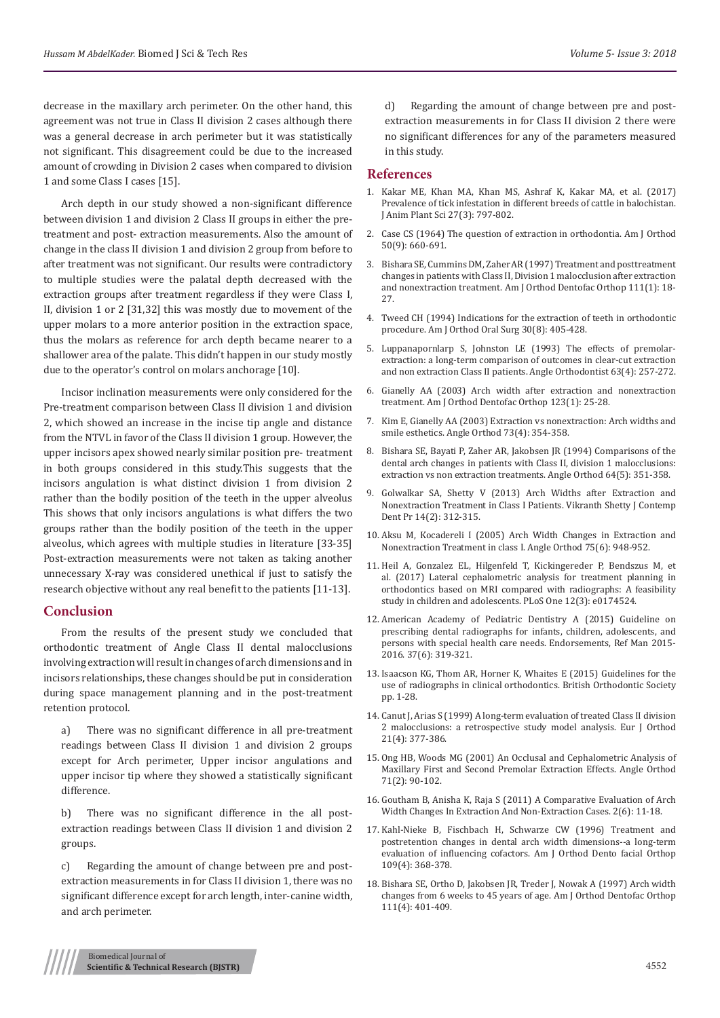decrease in the maxillary arch perimeter. On the other hand, this agreement was not true in Class II division 2 cases although there was a general decrease in arch perimeter but it was statistically not significant. This disagreement could be due to the increased amount of crowding in Division 2 cases when compared to division 1 and some Class I cases [15].

Arch depth in our study showed a non-significant difference between division 1 and division 2 Class II groups in either the pretreatment and post- extraction measurements. Also the amount of change in the class II division 1 and division 2 group from before to after treatment was not significant. Our results were contradictory to multiple studies were the palatal depth decreased with the extraction groups after treatment regardless if they were Class I, II, division 1 or 2 [31,32] this was mostly due to movement of the upper molars to a more anterior position in the extraction space, thus the molars as reference for arch depth became nearer to a shallower area of the palate. This didn't happen in our study mostly due to the operator's control on molars anchorage [10].

Incisor inclination measurements were only considered for the Pre-treatment comparison between Class II division 1 and division 2, which showed an increase in the incise tip angle and distance from the NTVL in favor of the Class II division 1 group. However, the upper incisors apex showed nearly similar position pre- treatment in both groups considered in this study.This suggests that the incisors angulation is what distinct division 1 from division 2 rather than the bodily position of the teeth in the upper alveolus This shows that only incisors angulations is what differs the two groups rather than the bodily position of the teeth in the upper alveolus, which agrees with multiple studies in literature [33-35] Post-extraction measurements were not taken as taking another unnecessary X-ray was considered unethical if just to satisfy the research objective without any real benefit to the patients [11-13].

#### **Conclusion**

From the results of the present study we concluded that orthodontic treatment of Angle Class II dental malocclusions involving extraction will result in changes of arch dimensions and in incisors relationships, these changes should be put in consideration during space management planning and in the post-treatment retention protocol.

a) There was no significant difference in all pre-treatment readings between Class II division 1 and division 2 groups except for Arch perimeter, Upper incisor angulations and upper incisor tip where they showed a statistically significant difference.

There was no significant difference in the all postextraction readings between Class II division 1 and division 2 groups.

c) Regarding the amount of change between pre and postextraction measurements in for Class II division 1, there was no significant difference except for arch length, inter-canine width, and arch perimeter.

d) Regarding the amount of change between pre and postextraction measurements in for Class II division 2 there were no significant differences for any of the parameters measured in this study.

#### **References**

- 1. [Kakar ME, Khan MA, Khan MS, Ashraf K, Kakar MA, et al. \(2017\)](https://www.researchgate.net/publication/318262694_Prevalence_of_tick_infestation_in_different_breeds_of_cattle_in_balochistan) [Prevalence of tick infestation in different breeds of cattle in balochistan.](https://www.researchgate.net/publication/318262694_Prevalence_of_tick_infestation_in_different_breeds_of_cattle_in_balochistan) [J Anim Plant Sci 27\(3\): 797-802.](https://www.researchgate.net/publication/318262694_Prevalence_of_tick_infestation_in_different_breeds_of_cattle_in_balochistan)
- 2. [Case CS \(1964\) The question of extraction in orthodontia. Am J Orthod](https://www.sciencedirect.com/science/article/pii/000294166490106X) [50\(9\): 660-691.](https://www.sciencedirect.com/science/article/pii/000294166490106X)
- 3. [Bishara SE, Cummins DM, Zaher AR \(1997\) Treatment and posttreatment](https://www.ncbi.nlm.nih.gov/pubmed/9009919) [changes in patients with Class II, Division 1 malocclusion after extraction](https://www.ncbi.nlm.nih.gov/pubmed/9009919) [and nonextraction treatment. Am J Orthod Dentofac Orthop 111\(1\): 18-](https://www.ncbi.nlm.nih.gov/pubmed/9009919) [27.](https://www.ncbi.nlm.nih.gov/pubmed/9009919)
- 4. [Tweed CH \(1994\) Indications for the extraction of teeth in orthodontic](https://www.ajodo.org/article/S0096-6347(44)90038-4/abstract?code=ymod-site) [procedure. Am J Orthod Oral Surg 30\(8\): 405-428.](https://www.ajodo.org/article/S0096-6347(44)90038-4/abstract?code=ymod-site)
- 5. [Luppanapornlarp S, Johnston LE \(1993\) The effects of premolar](https://www.ncbi.nlm.nih.gov/pubmed/8297050)[extraction: a long-term comparison of outcomes in clear-cut extraction](https://www.ncbi.nlm.nih.gov/pubmed/8297050) [and non extraction Class II patients. Angle Orthodontist 63\(4\): 257-272.](https://www.ncbi.nlm.nih.gov/pubmed/8297050)
- 6. [Gianelly AA \(2003\) Arch width after extraction and nonextraction](https://www.ncbi.nlm.nih.gov/pubmed/12532059) [treatment. Am J Orthod Dentofac Orthop 123\(1\): 25-28.](https://www.ncbi.nlm.nih.gov/pubmed/12532059)
- 7. [Kim E, Gianelly AA \(2003\) Extraction vs nonextraction: Arch widths and](https://www.ncbi.nlm.nih.gov/pubmed/12940554) [smile esthetics. Angle Orthod 73\(4\): 354-358.](https://www.ncbi.nlm.nih.gov/pubmed/12940554)
- 8. [Bishara SE, Bayati P, Zaher AR, Jakobsen JR \(1994\) Comparisons of the](https://www.ncbi.nlm.nih.gov/pubmed/7802329) [dental arch changes in patients with Class II, division 1 malocclusions:](https://www.ncbi.nlm.nih.gov/pubmed/7802329) [extraction vs non extraction treatments. Angle Orthod 64\(5\): 351-358.](https://www.ncbi.nlm.nih.gov/pubmed/7802329)
- 9. [Golwalkar SA, Shetty V \(2013\) Arch Widths after Extraction and](https://pdfs.semanticscholar.org/9c47/f091913e587451662bf3169cc324e4d4b10c.pdf) [Nonextraction Treatment in Class I Patients. Vikranth Shetty J Contemp](https://pdfs.semanticscholar.org/9c47/f091913e587451662bf3169cc324e4d4b10c.pdf) [Dent Pr 14\(2\): 312-315.](https://pdfs.semanticscholar.org/9c47/f091913e587451662bf3169cc324e4d4b10c.pdf)
- 10. [Aksu M, Kocadereli I \(2005\) Arch Width Changes in Extraction and](https://www.ncbi.nlm.nih.gov/pubmed/16448236) [Nonextraction Treatment in class I. Angle Orthod 75\(6\): 948-952.](https://www.ncbi.nlm.nih.gov/pubmed/16448236)
- 11. [Heil A, Gonzalez EL, Hilgenfeld T, Kickingereder P, Bendszus M, et](https://www.ncbi.nlm.nih.gov/pubmed/28334054) [al. \(2017\) Lateral cephalometric analysis for treatment planning in](https://www.ncbi.nlm.nih.gov/pubmed/28334054) [orthodontics based on MRI compared with radiographs: A feasibility](https://www.ncbi.nlm.nih.gov/pubmed/28334054) [study in children and adolescents. PLoS One 12\(3\): e0174524.](https://www.ncbi.nlm.nih.gov/pubmed/28334054)
- 12. [American Academy of Pediatric Dentistry A \(2015\) Guideline on](http://www.aapd.org/media/policies_guidelines/e_radiographs.pdf) [prescribing dental radiographs for infants, children, adolescents, and](http://www.aapd.org/media/policies_guidelines/e_radiographs.pdf) [persons with special health care needs. Endorsements, Ref Man 2015-](http://www.aapd.org/media/policies_guidelines/e_radiographs.pdf) [2016. 37\(6\): 319-321.](http://www.aapd.org/media/policies_guidelines/e_radiographs.pdf)
- 13. [Isaacson KG, Thom AR, Horner K, Whaites E \(2015\) Guidelines for the](https://www.bos.org.uk/Portals/0/Public/docs/General%20Guidance/Orthodontic%20Radiographs%202016%20-%202.pdf) [use of radiographs in clinical orthodontics. British Orthodontic Society](https://www.bos.org.uk/Portals/0/Public/docs/General%20Guidance/Orthodontic%20Radiographs%202016%20-%202.pdf) [pp. 1-28.](https://www.bos.org.uk/Portals/0/Public/docs/General%20Guidance/Orthodontic%20Radiographs%202016%20-%202.pdf)
- 14. [Canut J, Arias S \(1999\) A long-term evaluation of treated Class II division](https://www.ncbi.nlm.nih.gov/pubmed/10502900) [2 malocclusions: a retrospective study model analysis. Eur J Orthod](https://www.ncbi.nlm.nih.gov/pubmed/10502900) [21\(4\): 377-386.](https://www.ncbi.nlm.nih.gov/pubmed/10502900)
- 15. [Ong HB, Woods MG \(2001\) An Occlusal and Cephalometric Analysis of](https://www.ncbi.nlm.nih.gov/pubmed/11302594) [Maxillary First and Second Premolar Extraction Effects. Angle Orthod](https://www.ncbi.nlm.nih.gov/pubmed/11302594) [71\(2\): 90-102.](https://www.ncbi.nlm.nih.gov/pubmed/11302594)
- 16. [Goutham B, Anisha K, Raja S \(2011\) A Comparative Evaluation of Arch](https://edentj.com/index.php/ijcd/article/viewArticle/591) [Width Changes In Extraction And Non-Extraction Cases. 2\(6\): 11-18.](https://edentj.com/index.php/ijcd/article/viewArticle/591)
- 17. [Kahl-Nieke B, Fischbach H, Schwarze CW \(1996\) Treatment and](https://www.ncbi.nlm.nih.gov/pubmed/8638578) [postretention changes in dental arch width dimensions--a long-term](https://www.ncbi.nlm.nih.gov/pubmed/8638578) [evaluation of influencing cofactors. Am J Orthod Dento facial Orthop](https://www.ncbi.nlm.nih.gov/pubmed/8638578) [109\(4\): 368-378.](https://www.ncbi.nlm.nih.gov/pubmed/8638578)
- 18. [Bishara SE, Ortho D, Jakobsen JR, Treder J, Nowak A \(1997\) Arch width](https://www.ncbi.nlm.nih.gov/pubmed/9109585) [changes from 6 weeks to 45 years of age. Am J Orthod Dentofac Orthop](https://www.ncbi.nlm.nih.gov/pubmed/9109585) [111\(4\): 401-409.](https://www.ncbi.nlm.nih.gov/pubmed/9109585)